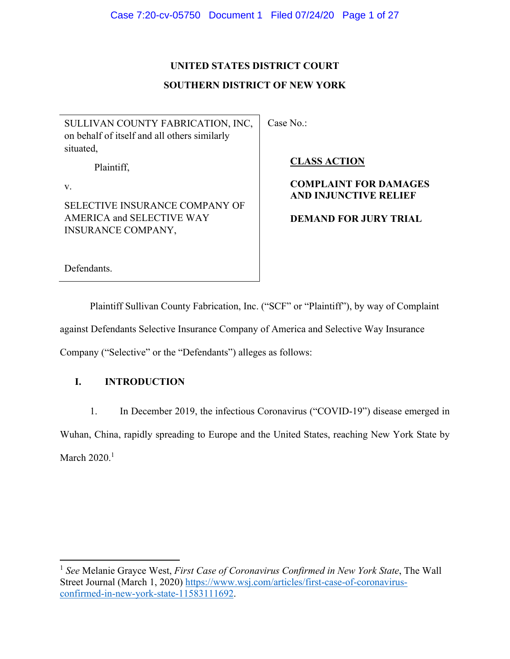## **UNITED STATES DISTRICT COURT**

## **SOUTHERN DISTRICT OF NEW YORK**

SULLIVAN COUNTY FABRICATION, INC, on behalf of itself and all others similarly situated,

Plaintiff,

v.

SELECTIVE INSURANCE COMPANY OF AMERICA and SELECTIVE WAY INSURANCE COMPANY,

Case No.:

**CLASS ACTION** 

# **COMPLAINT FOR DAMAGES AND INJUNCTIVE RELIEF**

# **DEMAND FOR JURY TRIAL**

Defendants.

Plaintiff Sullivan County Fabrication, Inc. ("SCF" or "Plaintiff"), by way of Complaint against Defendants Selective Insurance Company of America and Selective Way Insurance Company ("Selective" or the "Defendants") alleges as follows:

# **I. INTRODUCTION**

1. In December 2019, the infectious Coronavirus ("COVID-19") disease emerged in Wuhan, China, rapidly spreading to Europe and the United States, reaching New York State by March  $2020.<sup>1</sup>$ 

<sup>1</sup> *See* Melanie Grayce West, *First Case of Coronavirus Confirmed in New York State*, The Wall Street Journal (March 1, 2020) https://www.wsj.com/articles/first-case-of-coronavirusconfirmed-in-new-york-state-11583111692.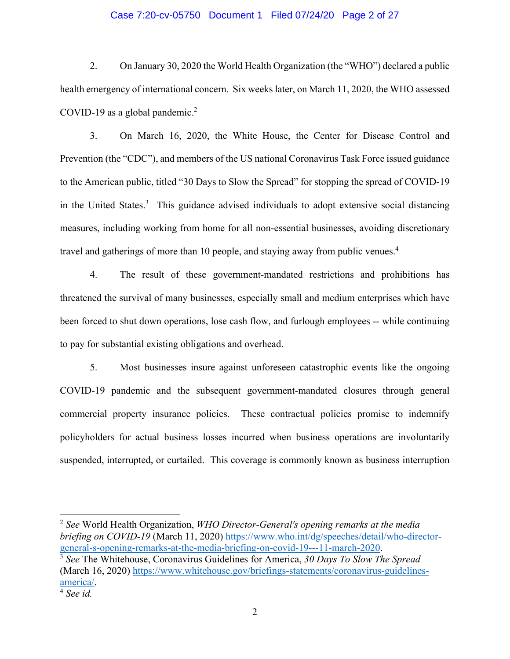### Case 7:20-cv-05750 Document 1 Filed 07/24/20 Page 2 of 27

2. On January 30, 2020 the World Health Organization (the "WHO") declared a public health emergency of international concern. Six weeks later, on March 11, 2020, the WHO assessed COVID-19 as a global pandemic.<sup>2</sup>

3. On March 16, 2020, the White House, the Center for Disease Control and Prevention (the "CDC"), and members of the US national Coronavirus Task Force issued guidance to the American public, titled "30 Days to Slow the Spread" for stopping the spread of COVID-19 in the United States.<sup>3</sup> This guidance advised individuals to adopt extensive social distancing measures, including working from home for all non-essential businesses, avoiding discretionary travel and gatherings of more than 10 people, and staying away from public venues.<sup>4</sup>

4. The result of these government-mandated restrictions and prohibitions has threatened the survival of many businesses, especially small and medium enterprises which have been forced to shut down operations, lose cash flow, and furlough employees -- while continuing to pay for substantial existing obligations and overhead.

5. Most businesses insure against unforeseen catastrophic events like the ongoing COVID-19 pandemic and the subsequent government-mandated closures through general commercial property insurance policies. These contractual policies promise to indemnify policyholders for actual business losses incurred when business operations are involuntarily suspended, interrupted, or curtailed. This coverage is commonly known as business interruption

<sup>2</sup> *See* World Health Organization, *WHO Director-General's opening remarks at the media briefing on COVID-19* (March 11, 2020) https://www.who.int/dg/speeches/detail/who-director-

general-s-opening-remarks-at-the-media-briefing-on-covid-19---11-march-2020. 3 *See* The Whitehouse, Coronavirus Guidelines for America, *30 Days To Slow The Spread* (March 16, 2020) https://www.whitehouse.gov/briefings-statements/coronavirus-guidelinesamerica/. 4 *See id.*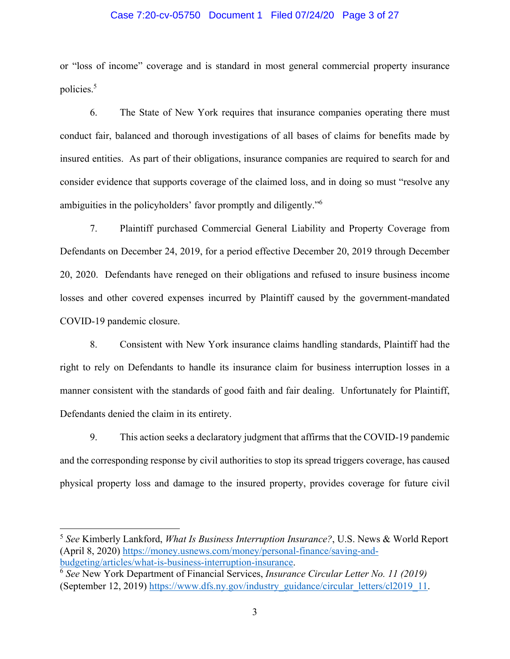### Case 7:20-cv-05750 Document 1 Filed 07/24/20 Page 3 of 27

or "loss of income" coverage and is standard in most general commercial property insurance policies.5

6. The State of New York requires that insurance companies operating there must conduct fair, balanced and thorough investigations of all bases of claims for benefits made by insured entities. As part of their obligations, insurance companies are required to search for and consider evidence that supports coverage of the claimed loss, and in doing so must "resolve any ambiguities in the policyholders' favor promptly and diligently."<sup>6</sup>

7. Plaintiff purchased Commercial General Liability and Property Coverage from Defendants on December 24, 2019, for a period effective December 20, 2019 through December 20, 2020. Defendants have reneged on their obligations and refused to insure business income losses and other covered expenses incurred by Plaintiff caused by the government-mandated COVID-19 pandemic closure.

8. Consistent with New York insurance claims handling standards, Plaintiff had the right to rely on Defendants to handle its insurance claim for business interruption losses in a manner consistent with the standards of good faith and fair dealing. Unfortunately for Plaintiff, Defendants denied the claim in its entirety.

9. This action seeks a declaratory judgment that affirms that the COVID-19 pandemic and the corresponding response by civil authorities to stop its spread triggers coverage, has caused physical property loss and damage to the insured property, provides coverage for future civil

<sup>5</sup> *See* Kimberly Lankford, *What Is Business Interruption Insurance?*, U.S. News & World Report (April 8, 2020) https://money.usnews.com/money/personal-finance/saving-andbudgeting/articles/what-is-business-interruption-insurance. 6 *See* New York Department of Financial Services, *Insurance Circular Letter No. 11 (2019)* 

<sup>(</sup>September 12, 2019) https://www.dfs.ny.gov/industry\_guidance/circular\_letters/cl2019\_11.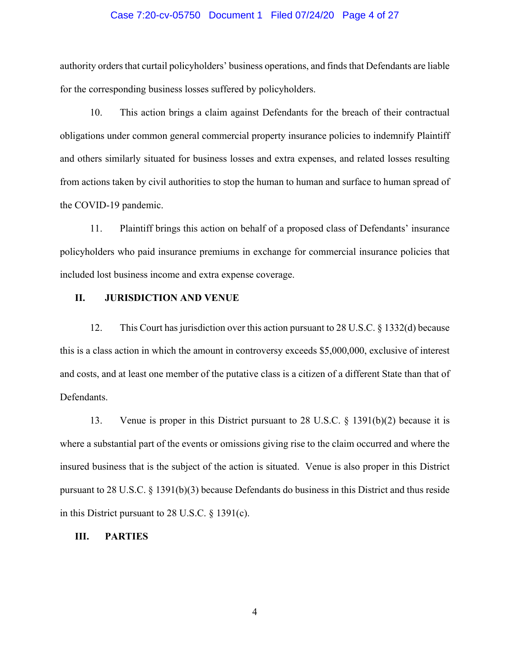### Case 7:20-cv-05750 Document 1 Filed 07/24/20 Page 4 of 27

authority orders that curtail policyholders' business operations, and finds that Defendants are liable for the corresponding business losses suffered by policyholders.

10. This action brings a claim against Defendants for the breach of their contractual obligations under common general commercial property insurance policies to indemnify Plaintiff and others similarly situated for business losses and extra expenses, and related losses resulting from actions taken by civil authorities to stop the human to human and surface to human spread of the COVID-19 pandemic.

11. Plaintiff brings this action on behalf of a proposed class of Defendants' insurance policyholders who paid insurance premiums in exchange for commercial insurance policies that included lost business income and extra expense coverage.

### **II. JURISDICTION AND VENUE**

12. This Court has jurisdiction over this action pursuant to 28 U.S.C. § 1332(d) because this is a class action in which the amount in controversy exceeds \$5,000,000, exclusive of interest and costs, and at least one member of the putative class is a citizen of a different State than that of Defendants.

13. Venue is proper in this District pursuant to 28 U.S.C. § 1391(b)(2) because it is where a substantial part of the events or omissions giving rise to the claim occurred and where the insured business that is the subject of the action is situated. Venue is also proper in this District pursuant to 28 U.S.C. § 1391(b)(3) because Defendants do business in this District and thus reside in this District pursuant to 28 U.S.C. § 1391(c).

### **III. PARTIES**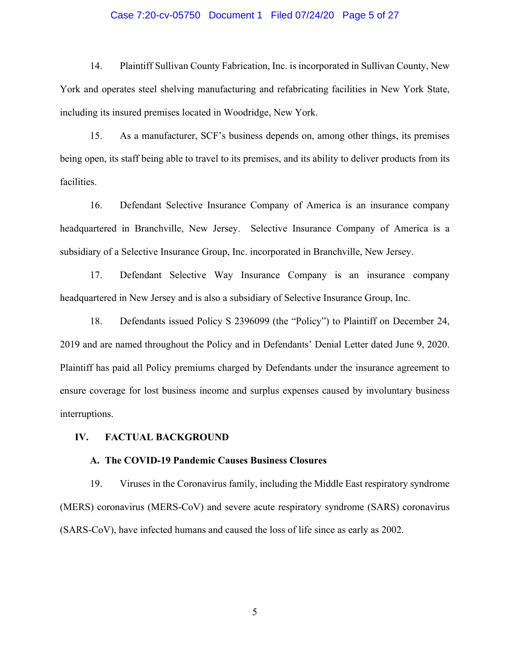### Case 7:20-cv-05750 Document 1 Filed 07/24/20 Page 5 of 27

14. Plaintiff Sullivan County Fabrication, Inc. is incorporated in Sullivan County, New York and operates steel shelving manufacturing and refabricating facilities in New York State, including its insured premises located in Woodridge, New York.

15. As a manufacturer, SCF's business depends on, among other things, its premises being open, its staff being able to travel to its premises, and its ability to deliver products from its facilities.

16. Defendant Selective Insurance Company of America is an insurance company headquartered in Branchville, New Jersey. Selective Insurance Company of America is a subsidiary of a Selective Insurance Group, Inc. incorporated in Branchville, New Jersey.

17. Defendant Selective Way Insurance Company is an insurance company headquartered in New Jersey and is also a subsidiary of Selective Insurance Group, Inc.

18. Defendants issued Policy S 2396099 (the "Policy") to Plaintiff on December 24, 2019 and are named throughout the Policy and in Defendants' Denial Letter dated June 9, 2020. Plaintiff has paid all Policy premiums charged by Defendants under the insurance agreement to ensure coverage for lost business income and surplus expenses caused by involuntary business interruptions.

### **IV. FACTUAL BACKGROUND**

#### **A. The COVID-19 Pandemic Causes Business Closures**

19. Viruses in the Coronavirus family, including the Middle East respiratory syndrome (MERS) coronavirus (MERS-CoV) and severe acute respiratory syndrome (SARS) coronavirus (SARS-CoV), have infected humans and caused the loss of life since as early as 2002.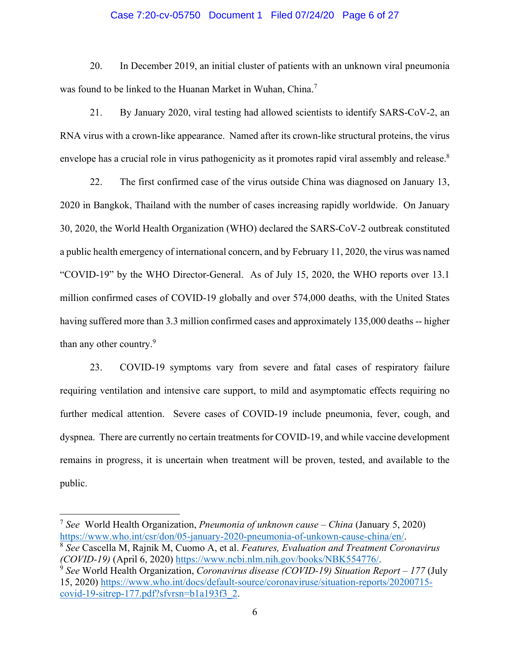### Case 7:20-cv-05750 Document 1 Filed 07/24/20 Page 6 of 27

20. In December 2019, an initial cluster of patients with an unknown viral pneumonia was found to be linked to the Huanan Market in Wuhan, China.<sup>7</sup>

21. By January 2020, viral testing had allowed scientists to identify SARS-CoV-2, an RNA virus with a crown-like appearance. Named after its crown-like structural proteins, the virus envelope has a crucial role in virus pathogenicity as it promotes rapid viral assembly and release.<sup>8</sup>

22. The first confirmed case of the virus outside China was diagnosed on January 13, 2020 in Bangkok, Thailand with the number of cases increasing rapidly worldwide. On January 30, 2020, the World Health Organization (WHO) declared the SARS-CoV-2 outbreak constituted a public health emergency of international concern, and by February 11, 2020, the virus was named "COVID-19" by the WHO Director-General. As of July 15, 2020, the WHO reports over 13.1 million confirmed cases of COVID-19 globally and over 574,000 deaths, with the United States having suffered more than 3.3 million confirmed cases and approximately 135,000 deaths -- higher than any other country.<sup>9</sup>

23. COVID-19 symptoms vary from severe and fatal cases of respiratory failure requiring ventilation and intensive care support, to mild and asymptomatic effects requiring no further medical attention. Severe cases of COVID-19 include pneumonia, fever, cough, and dyspnea. There are currently no certain treatments for COVID-19, and while vaccine development remains in progress, it is uncertain when treatment will be proven, tested, and available to the public.

<sup>7</sup> *See* World Health Organization, *Pneumonia of unknown cause – China* (January 5, 2020) https://www.who.int/csr/don/05-january-2020-pneumonia-of-unkown-cause-china/en/. 8 *See* Cascella M, Rajnik M, Cuomo A, et al. *Features, Evaluation and Treatment Coronavirus*

*<sup>(</sup>COVID-19)* (April 6, 2020) https://www.ncbi.nlm.nih.gov/books/NBK554776/. 9 *See* World Health Organization, *Coronavirus disease (COVID-19) Situation Report – 177* (July

<sup>15, 2020)</sup> https://www.who.int/docs/default-source/coronaviruse/situation-reports/20200715 covid-19-sitrep-177.pdf?sfvrsn=b1a193f3\_2.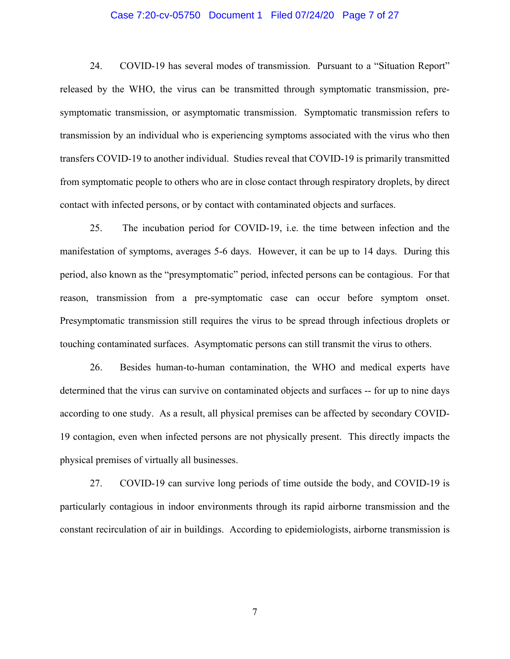### Case 7:20-cv-05750 Document 1 Filed 07/24/20 Page 7 of 27

24. COVID-19 has several modes of transmission. Pursuant to a "Situation Report" released by the WHO, the virus can be transmitted through symptomatic transmission, presymptomatic transmission, or asymptomatic transmission. Symptomatic transmission refers to transmission by an individual who is experiencing symptoms associated with the virus who then transfers COVID-19 to another individual. Studies reveal that COVID-19 is primarily transmitted from symptomatic people to others who are in close contact through respiratory droplets, by direct contact with infected persons, or by contact with contaminated objects and surfaces.

25. The incubation period for COVID-19, i.e. the time between infection and the manifestation of symptoms, averages 5-6 days. However, it can be up to 14 days. During this period, also known as the "presymptomatic" period, infected persons can be contagious. For that reason, transmission from a pre-symptomatic case can occur before symptom onset. Presymptomatic transmission still requires the virus to be spread through infectious droplets or touching contaminated surfaces. Asymptomatic persons can still transmit the virus to others.

26. Besides human-to-human contamination, the WHO and medical experts have determined that the virus can survive on contaminated objects and surfaces -- for up to nine days according to one study. As a result, all physical premises can be affected by secondary COVID-19 contagion, even when infected persons are not physically present. This directly impacts the physical premises of virtually all businesses.

27. COVID-19 can survive long periods of time outside the body, and COVID-19 is particularly contagious in indoor environments through its rapid airborne transmission and the constant recirculation of air in buildings. According to epidemiologists, airborne transmission is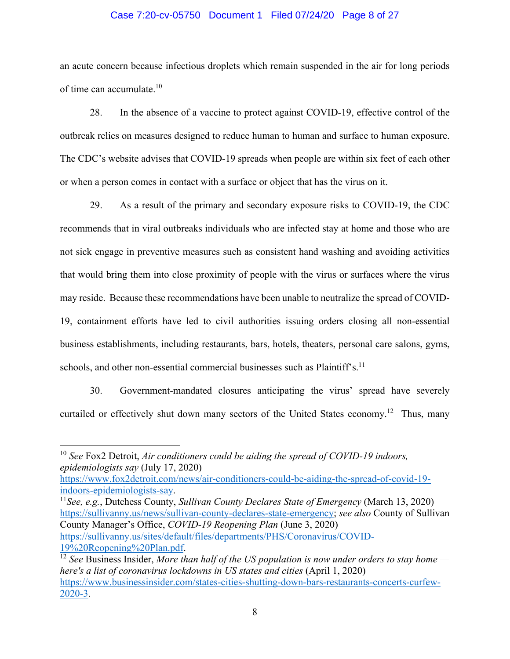### Case 7:20-cv-05750 Document 1 Filed 07/24/20 Page 8 of 27

an acute concern because infectious droplets which remain suspended in the air for long periods of time can accumulate.<sup>10</sup>

28. In the absence of a vaccine to protect against COVID-19, effective control of the outbreak relies on measures designed to reduce human to human and surface to human exposure. The CDC's website advises that COVID-19 spreads when people are within six feet of each other or when a person comes in contact with a surface or object that has the virus on it.

29. As a result of the primary and secondary exposure risks to COVID-19, the CDC recommends that in viral outbreaks individuals who are infected stay at home and those who are not sick engage in preventive measures such as consistent hand washing and avoiding activities that would bring them into close proximity of people with the virus or surfaces where the virus may reside. Because these recommendations have been unable to neutralize the spread of COVID-19, containment efforts have led to civil authorities issuing orders closing all non-essential business establishments, including restaurants, bars, hotels, theaters, personal care salons, gyms, schools, and other non-essential commercial businesses such as Plaintiff's.<sup>11</sup>

30. Government-mandated closures anticipating the virus' spread have severely curtailed or effectively shut down many sectors of the United States economy.<sup>12</sup> Thus, many

<sup>11</sup>See, e.g., Dutchess County, *Sullivan County Declares State of Emergency* (March 13, 2020) https://sullivanny.us/news/sullivan-county-declares-state-emergency; *see also* County of Sullivan County Manager's Office, *COVID-19 Reopening Plan* (June 3, 2020) https://sullivanny.us/sites/default/files/departments/PHS/Coronavirus/COVID-

<sup>10</sup> *See* Fox2 Detroit, *Air conditioners could be aiding the spread of COVID-19 indoors, epidemiologists say* (July 17, 2020)

https://www.fox2detroit.com/news/air-conditioners-could-be-aiding-the-spread-of-covid-19-

<sup>19%20</sup>Reopening%20Plan.pdf. 12 *See* Business Insider, *More than half of the US population is now under orders to stay home here's a list of coronavirus lockdowns in US states and cities* (April 1, 2020) https://www.businessinsider.com/states-cities-shutting-down-bars-restaurants-concerts-curfew-2020-3.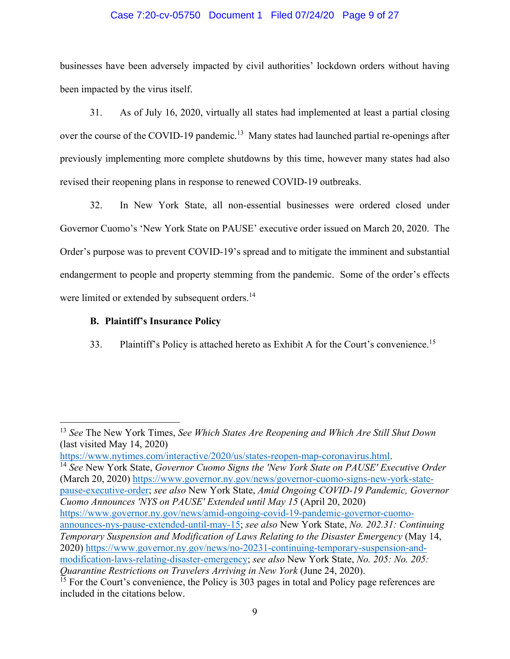### Case 7:20-cv-05750 Document 1 Filed 07/24/20 Page 9 of 27

businesses have been adversely impacted by civil authorities' lockdown orders without having been impacted by the virus itself.

31. As of July 16, 2020, virtually all states had implemented at least a partial closing over the course of the COVID-19 pandemic.<sup>13</sup> Many states had launched partial re-openings after previously implementing more complete shutdowns by this time, however many states had also revised their reopening plans in response to renewed COVID-19 outbreaks.

32. In New York State, all non-essential businesses were ordered closed under Governor Cuomo's 'New York State on PAUSE' executive order issued on March 20, 2020. The Order's purpose was to prevent COVID-19's spread and to mitigate the imminent and substantial endangerment to people and property stemming from the pandemic. Some of the order's effects were limited or extended by subsequent orders.<sup>14</sup>

### **B. Plaintiff's Insurance Policy**

33. Plaintiff's Policy is attached hereto as Exhibit A for the Court's convenience.<sup>15</sup>

https://www.nytimes.com/interactive/2020/us/states-reopen-map-coronavirus.html. 14 *See* New York State, *Governor Cuomo Signs the 'New York State on PAUSE' Executive Order* (March 20, 2020) https://www.governor.ny.gov/news/governor-cuomo-signs-new-york-statepause-executive-order; *see also* New York State, *Amid Ongoing COVID-19 Pandemic, Governor Cuomo Announces 'NYS on PAUSE' Extended until May 15* (April 20, 2020) https://www.governor.ny.gov/news/amid-ongoing-covid-19-pandemic-governor-cuomoannounces-nys-pause-extended-until-may-15; *see also* New York State, *No. 202.31: Continuing Temporary Suspension and Modification of Laws Relating to the Disaster Emergency* (May 14, 2020) https://www.governor.ny.gov/news/no-20231-continuing-temporary-suspension-andmodification-laws-relating-disaster-emergency; *see also* New York State, *No. 205: No. 205: Quarantine Restrictions on Travelers Arriving in New York* (June 24, 2020).

<sup>13</sup> *See* The New York Times, *See Which States Are Reopening and Which Are Still Shut Down* (last visited May 14, 2020)

 $^{15}$  For the Court's convenience, the Policy is 303 pages in total and Policy page references are included in the citations below.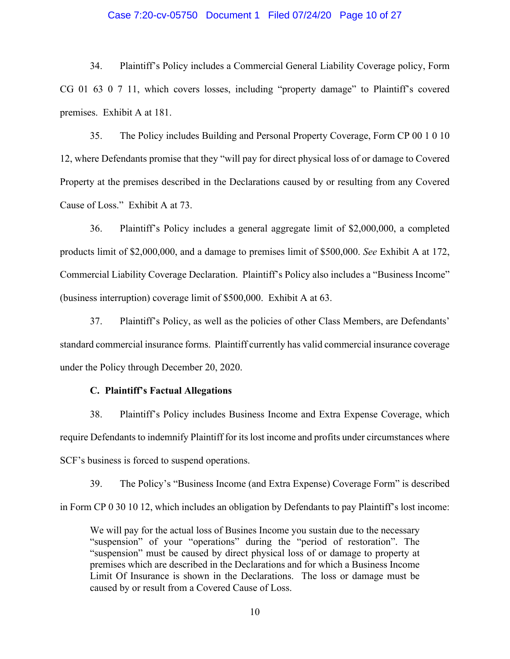### Case 7:20-cv-05750 Document 1 Filed 07/24/20 Page 10 of 27

34. Plaintiff's Policy includes a Commercial General Liability Coverage policy, Form CG 01 63 0 7 11, which covers losses, including "property damage" to Plaintiff's covered premises. Exhibit A at 181.

35. The Policy includes Building and Personal Property Coverage, Form CP 00 1 0 10 12, where Defendants promise that they "will pay for direct physical loss of or damage to Covered Property at the premises described in the Declarations caused by or resulting from any Covered Cause of Loss." Exhibit A at 73.

36. Plaintiff's Policy includes a general aggregate limit of \$2,000,000, a completed products limit of \$2,000,000, and a damage to premises limit of \$500,000. *See* Exhibit A at 172, Commercial Liability Coverage Declaration. Plaintiff's Policy also includes a "Business Income" (business interruption) coverage limit of \$500,000. Exhibit A at 63.

37. Plaintiff's Policy, as well as the policies of other Class Members, are Defendants' standard commercial insurance forms. Plaintiff currently has valid commercial insurance coverage under the Policy through December 20, 2020.

### **C. Plaintiff's Factual Allegations**

38. Plaintiff's Policy includes Business Income and Extra Expense Coverage, which require Defendants to indemnify Plaintiff for its lost income and profits under circumstances where SCF's business is forced to suspend operations.

39. The Policy's "Business Income (and Extra Expense) Coverage Form" is described in Form CP 0 30 10 12, which includes an obligation by Defendants to pay Plaintiff's lost income:

We will pay for the actual loss of Busines Income you sustain due to the necessary "suspension" of your "operations" during the "period of restoration". The "suspension" must be caused by direct physical loss of or damage to property at premises which are described in the Declarations and for which a Business Income Limit Of Insurance is shown in the Declarations. The loss or damage must be caused by or result from a Covered Cause of Loss.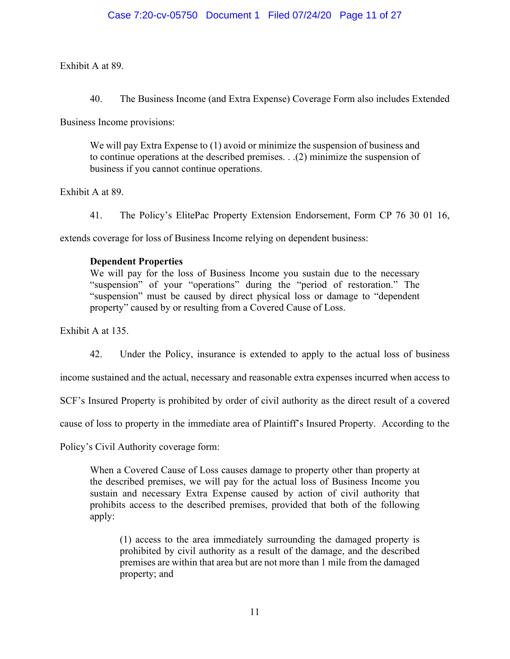Exhibit A at 89.

40. The Business Income (and Extra Expense) Coverage Form also includes Extended

Business Income provisions:

We will pay Extra Expense to (1) avoid or minimize the suspension of business and to continue operations at the described premises. . .(2) minimize the suspension of business if you cannot continue operations.

Exhibit A at 89.

41. The Policy's ElitePac Property Extension Endorsement, Form CP 76 30 01 16,

extends coverage for loss of Business Income relying on dependent business:

## **Dependent Properties**

We will pay for the loss of Business Income you sustain due to the necessary "suspension" of your "operations" during the "period of restoration." The "suspension" must be caused by direct physical loss or damage to "dependent property" caused by or resulting from a Covered Cause of Loss.

Exhibit A at 135.

42. Under the Policy, insurance is extended to apply to the actual loss of business

income sustained and the actual, necessary and reasonable extra expenses incurred when access to

SCF's Insured Property is prohibited by order of civil authority as the direct result of a covered

cause of loss to property in the immediate area of Plaintiff's Insured Property. According to the

Policy's Civil Authority coverage form:

When a Covered Cause of Loss causes damage to property other than property at the described premises, we will pay for the actual loss of Business Income you sustain and necessary Extra Expense caused by action of civil authority that prohibits access to the described premises, provided that both of the following apply:

(1) access to the area immediately surrounding the damaged property is prohibited by civil authority as a result of the damage, and the described premises are within that area but are not more than 1 mile from the damaged property; and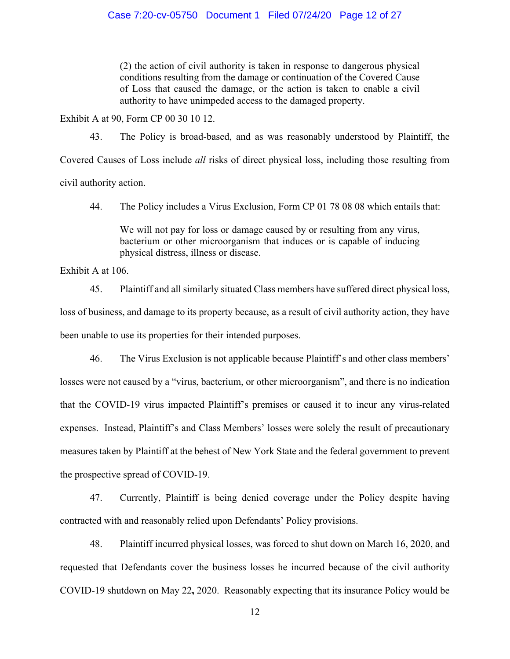(2) the action of civil authority is taken in response to dangerous physical conditions resulting from the damage or continuation of the Covered Cause of Loss that caused the damage, or the action is taken to enable a civil authority to have unimpeded access to the damaged property.

Exhibit A at 90, Form CP 00 30 10 12.

43. The Policy is broad-based, and as was reasonably understood by Plaintiff, the Covered Causes of Loss include *all* risks of direct physical loss, including those resulting from civil authority action.

44. The Policy includes a Virus Exclusion, Form CP 01 78 08 08 which entails that:

We will not pay for loss or damage caused by or resulting from any virus, bacterium or other microorganism that induces or is capable of inducing physical distress, illness or disease.

Exhibit A at 106.

45. Plaintiff and all similarly situated Class members have suffered direct physical loss, loss of business, and damage to its property because, as a result of civil authority action, they have been unable to use its properties for their intended purposes.

46. The Virus Exclusion is not applicable because Plaintiff's and other class members' losses were not caused by a "virus, bacterium, or other microorganism", and there is no indication that the COVID-19 virus impacted Plaintiff's premises or caused it to incur any virus-related expenses. Instead, Plaintiff's and Class Members' losses were solely the result of precautionary measures taken by Plaintiff at the behest of New York State and the federal government to prevent the prospective spread of COVID-19.

47. Currently, Plaintiff is being denied coverage under the Policy despite having contracted with and reasonably relied upon Defendants' Policy provisions.

48. Plaintiff incurred physical losses, was forced to shut down on March 16, 2020, and requested that Defendants cover the business losses he incurred because of the civil authority COVID-19 shutdown on May 22**,** 2020. Reasonably expecting that its insurance Policy would be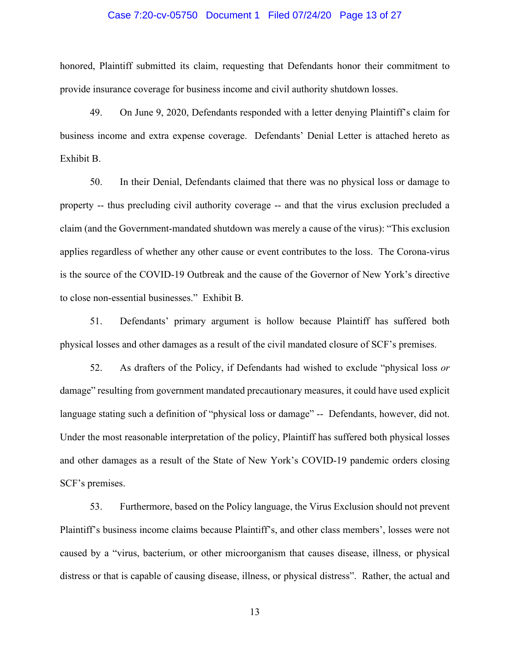### Case 7:20-cv-05750 Document 1 Filed 07/24/20 Page 13 of 27

honored, Plaintiff submitted its claim, requesting that Defendants honor their commitment to provide insurance coverage for business income and civil authority shutdown losses.

49. On June 9, 2020, Defendants responded with a letter denying Plaintiff's claim for business income and extra expense coverage. Defendants' Denial Letter is attached hereto as Exhibit B.

50. In their Denial, Defendants claimed that there was no physical loss or damage to property -- thus precluding civil authority coverage -- and that the virus exclusion precluded a claim (and the Government-mandated shutdown was merely a cause of the virus): "This exclusion applies regardless of whether any other cause or event contributes to the loss. The Corona-virus is the source of the COVID-19 Outbreak and the cause of the Governor of New York's directive to close non-essential businesses." Exhibit B.

51. Defendants' primary argument is hollow because Plaintiff has suffered both physical losses and other damages as a result of the civil mandated closure of SCF's premises.

52. As drafters of the Policy, if Defendants had wished to exclude "physical loss *or* damage" resulting from government mandated precautionary measures, it could have used explicit language stating such a definition of "physical loss or damage" -- Defendants, however, did not. Under the most reasonable interpretation of the policy, Plaintiff has suffered both physical losses and other damages as a result of the State of New York's COVID-19 pandemic orders closing SCF's premises.

53. Furthermore, based on the Policy language, the Virus Exclusion should not prevent Plaintiff's business income claims because Plaintiff's, and other class members', losses were not caused by a "virus, bacterium, or other microorganism that causes disease, illness, or physical distress or that is capable of causing disease, illness, or physical distress". Rather, the actual and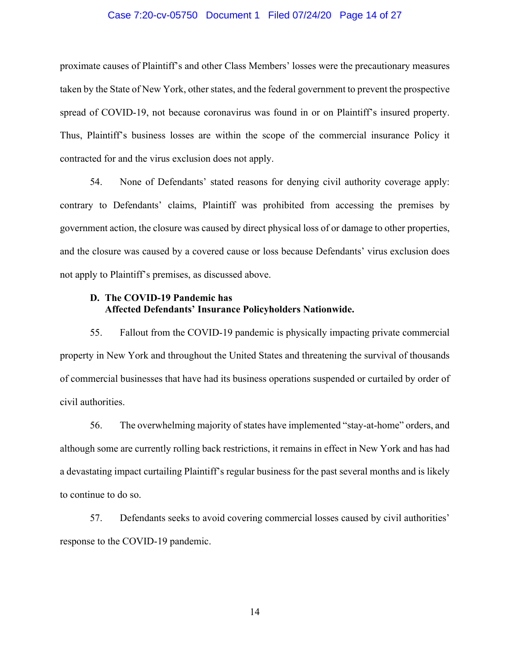### Case 7:20-cv-05750 Document 1 Filed 07/24/20 Page 14 of 27

proximate causes of Plaintiff's and other Class Members' losses were the precautionary measures taken by the State of New York, other states, and the federal government to prevent the prospective spread of COVID-19, not because coronavirus was found in or on Plaintiff's insured property. Thus, Plaintiff's business losses are within the scope of the commercial insurance Policy it contracted for and the virus exclusion does not apply.

54. None of Defendants' stated reasons for denying civil authority coverage apply: contrary to Defendants' claims, Plaintiff was prohibited from accessing the premises by government action, the closure was caused by direct physical loss of or damage to other properties, and the closure was caused by a covered cause or loss because Defendants' virus exclusion does not apply to Plaintiff's premises, as discussed above.

### **D. The COVID-19 Pandemic has Affected Defendants' Insurance Policyholders Nationwide.**

55. Fallout from the COVID-19 pandemic is physically impacting private commercial property in New York and throughout the United States and threatening the survival of thousands of commercial businesses that have had its business operations suspended or curtailed by order of civil authorities.

56. The overwhelming majority of states have implemented "stay-at-home" orders, and although some are currently rolling back restrictions, it remains in effect in New York and has had a devastating impact curtailing Plaintiff's regular business for the past several months and is likely to continue to do so.

57. Defendants seeks to avoid covering commercial losses caused by civil authorities' response to the COVID-19 pandemic.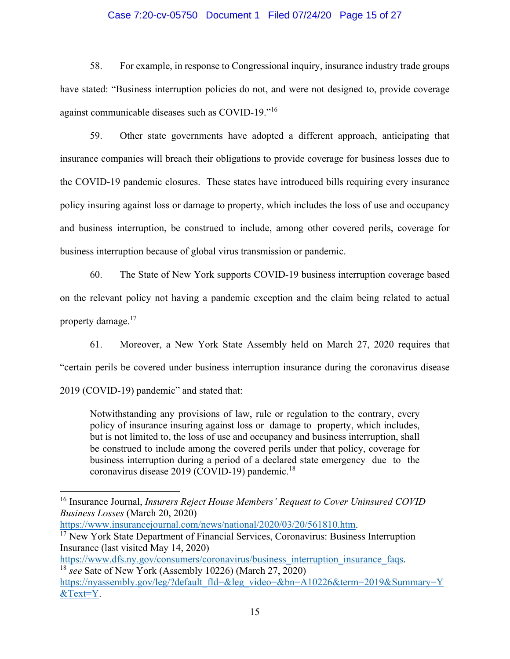### Case 7:20-cv-05750 Document 1 Filed 07/24/20 Page 15 of 27

58. For example, in response to Congressional inquiry, insurance industry trade groups have stated: "Business interruption policies do not, and were not designed to, provide coverage against communicable diseases such as COVID-19."<sup>16</sup>

59. Other state governments have adopted a different approach, anticipating that insurance companies will breach their obligations to provide coverage for business losses due to the COVID-19 pandemic closures. These states have introduced bills requiring every insurance policy insuring against loss or damage to property, which includes the loss of use and occupancy and business interruption, be construed to include, among other covered perils, coverage for business interruption because of global virus transmission or pandemic.

60. The State of New York supports COVID-19 business interruption coverage based on the relevant policy not having a pandemic exception and the claim being related to actual property damage.17

61. Moreover, a New York State Assembly held on March 27, 2020 requires that "certain perils be covered under business interruption insurance during the coronavirus disease 2019 (COVID-19) pandemic" and stated that:

Notwithstanding any provisions of law, rule or regulation to the contrary, every policy of insurance insuring against loss or damage to property, which includes, but is not limited to, the loss of use and occupancy and business interruption, shall be construed to include among the covered perils under that policy, coverage for business interruption during a period of a declared state emergency due to the coronavirus disease 2019 (COVID-19) pandemic.<sup>18</sup>

<sup>16</sup> Insurance Journal, *Insurers Reject House Members' Request to Cover Uninsured COVID Business Losses* (March 20, 2020)

https://www.insurancejournal.com/news/national/2020/03/20/561810.htm.<br><sup>17</sup> New York State Department of Financial Services, Coronavirus: Business Interruption Insurance (last visited May 14, 2020)

https://www.dfs.ny.gov/consumers/coronavirus/business\_interruption\_insurance\_faqs. 18 *see* Sate of New York (Assembly 10226) (March 27, 2020)

https://nyassembly.gov/leg/?default\_fld=&leg\_video=&bn=A10226&term=2019&Summary=Y &Text=Y.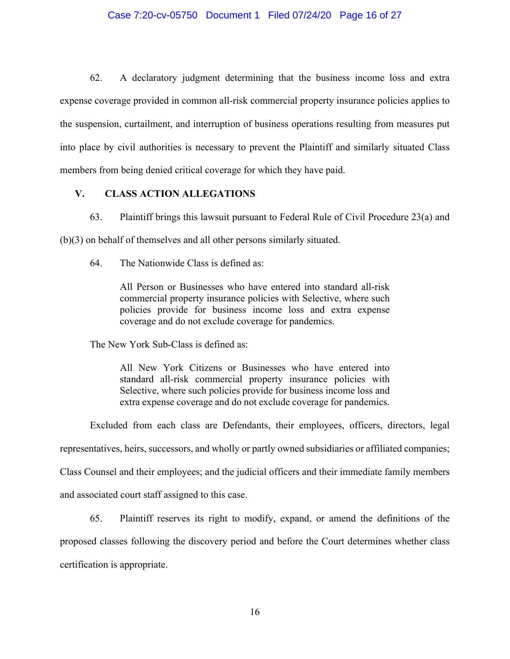### Case 7:20-cv-05750 Document 1 Filed 07/24/20 Page 16 of 27

62. A declaratory judgment determining that the business income loss and extra expense coverage provided in common all-risk commercial property insurance policies applies to the suspension, curtailment, and interruption of business operations resulting from measures put into place by civil authorities is necessary to prevent the Plaintiff and similarly situated Class members from being denied critical coverage for which they have paid.

### **V. CLASS ACTION ALLEGATIONS**

63. Plaintiff brings this lawsuit pursuant to Federal Rule of Civil Procedure 23(a) and

(b)(3) on behalf of themselves and all other persons similarly situated.

64. The Nationwide Class is defined as:

All Person or Businesses who have entered into standard all-risk commercial property insurance policies with Selective, where such policies provide for business income loss and extra expense coverage and do not exclude coverage for pandemics.

The New York Sub-Class is defined as:

All New York Citizens or Businesses who have entered into standard all-risk commercial property insurance policies with Selective, where such policies provide for business income loss and extra expense coverage and do not exclude coverage for pandemics.

Excluded from each class are Defendants, their employees, officers, directors, legal representatives, heirs, successors, and wholly or partly owned subsidiaries or affiliated companies; Class Counsel and their employees; and the judicial officers and their immediate family members and associated court staff assigned to this case.

65. Plaintiff reserves its right to modify, expand, or amend the definitions of the proposed classes following the discovery period and before the Court determines whether class certification is appropriate.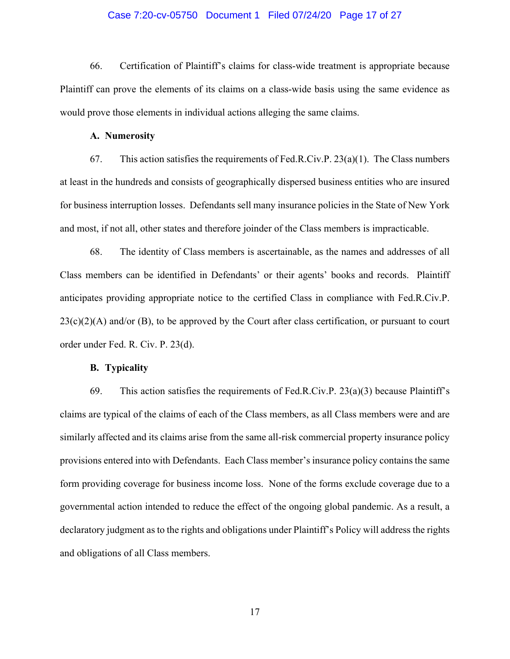### Case 7:20-cv-05750 Document 1 Filed 07/24/20 Page 17 of 27

66. Certification of Plaintiff's claims for class-wide treatment is appropriate because Plaintiff can prove the elements of its claims on a class-wide basis using the same evidence as would prove those elements in individual actions alleging the same claims.

#### **A. Numerosity**

67. This action satisfies the requirements of Fed.R.Civ.P.  $23(a)(1)$ . The Class numbers at least in the hundreds and consists of geographically dispersed business entities who are insured for business interruption losses. Defendants sell many insurance policies in the State of New York and most, if not all, other states and therefore joinder of the Class members is impracticable.

68. The identity of Class members is ascertainable, as the names and addresses of all Class members can be identified in Defendants' or their agents' books and records. Plaintiff anticipates providing appropriate notice to the certified Class in compliance with Fed.R.Civ.P.  $23(c)(2)(A)$  and/or (B), to be approved by the Court after class certification, or pursuant to court order under Fed. R. Civ. P. 23(d).

### **B. Typicality**

69. This action satisfies the requirements of Fed.R.Civ.P.  $23(a)(3)$  because Plaintiff's claims are typical of the claims of each of the Class members, as all Class members were and are similarly affected and its claims arise from the same all-risk commercial property insurance policy provisions entered into with Defendants. Each Class member's insurance policy contains the same form providing coverage for business income loss. None of the forms exclude coverage due to a governmental action intended to reduce the effect of the ongoing global pandemic. As a result, a declaratory judgment as to the rights and obligations under Plaintiff's Policy will address the rights and obligations of all Class members.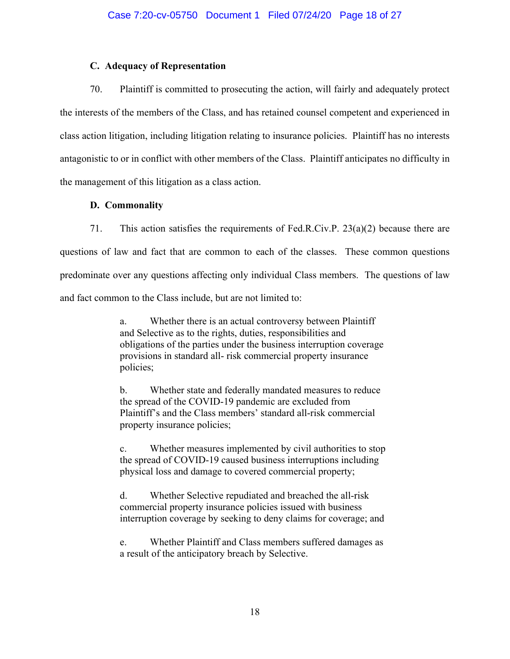### **C. Adequacy of Representation**

70. Plaintiff is committed to prosecuting the action, will fairly and adequately protect the interests of the members of the Class, and has retained counsel competent and experienced in class action litigation, including litigation relating to insurance policies. Plaintiff has no interests antagonistic to or in conflict with other members of the Class. Plaintiff anticipates no difficulty in the management of this litigation as a class action.

### **D. Commonality**

71. This action satisfies the requirements of Fed.R.Civ.P. 23(a)(2) because there are questions of law and fact that are common to each of the classes. These common questions predominate over any questions affecting only individual Class members. The questions of law and fact common to the Class include, but are not limited to:

> a. Whether there is an actual controversy between Plaintiff and Selective as to the rights, duties, responsibilities and obligations of the parties under the business interruption coverage provisions in standard all- risk commercial property insurance policies;

b. Whether state and federally mandated measures to reduce the spread of the COVID-19 pandemic are excluded from Plaintiff's and the Class members' standard all-risk commercial property insurance policies;

c. Whether measures implemented by civil authorities to stop the spread of COVID-19 caused business interruptions including physical loss and damage to covered commercial property;

d. Whether Selective repudiated and breached the all-risk commercial property insurance policies issued with business interruption coverage by seeking to deny claims for coverage; and

Whether Plaintiff and Class members suffered damages as a result of the anticipatory breach by Selective.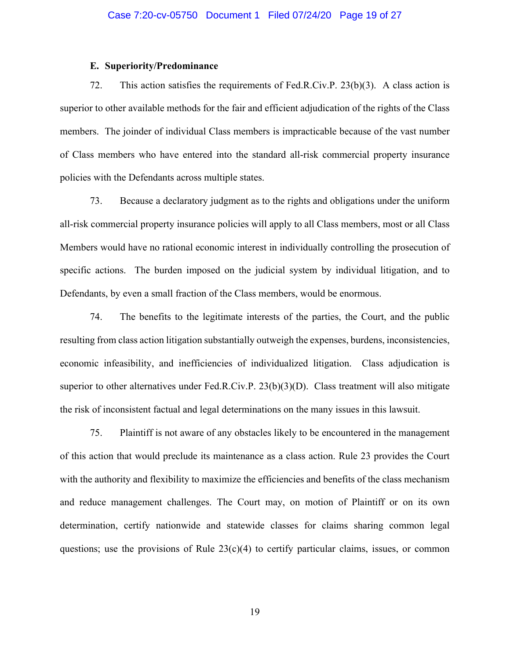### **E. Superiority/Predominance**

72. This action satisfies the requirements of Fed.R.Civ.P. 23(b)(3). A class action is superior to other available methods for the fair and efficient adjudication of the rights of the Class members. The joinder of individual Class members is impracticable because of the vast number of Class members who have entered into the standard all-risk commercial property insurance policies with the Defendants across multiple states.

73. Because a declaratory judgment as to the rights and obligations under the uniform all-risk commercial property insurance policies will apply to all Class members, most or all Class Members would have no rational economic interest in individually controlling the prosecution of specific actions. The burden imposed on the judicial system by individual litigation, and to Defendants, by even a small fraction of the Class members, would be enormous.

74. The benefits to the legitimate interests of the parties, the Court, and the public resulting from class action litigation substantially outweigh the expenses, burdens, inconsistencies, economic infeasibility, and inefficiencies of individualized litigation. Class adjudication is superior to other alternatives under Fed.R.Civ.P. 23(b)(3)(D). Class treatment will also mitigate the risk of inconsistent factual and legal determinations on the many issues in this lawsuit.

75. Plaintiff is not aware of any obstacles likely to be encountered in the management of this action that would preclude its maintenance as a class action. Rule 23 provides the Court with the authority and flexibility to maximize the efficiencies and benefits of the class mechanism and reduce management challenges. The Court may, on motion of Plaintiff or on its own determination, certify nationwide and statewide classes for claims sharing common legal questions; use the provisions of Rule  $23(c)(4)$  to certify particular claims, issues, or common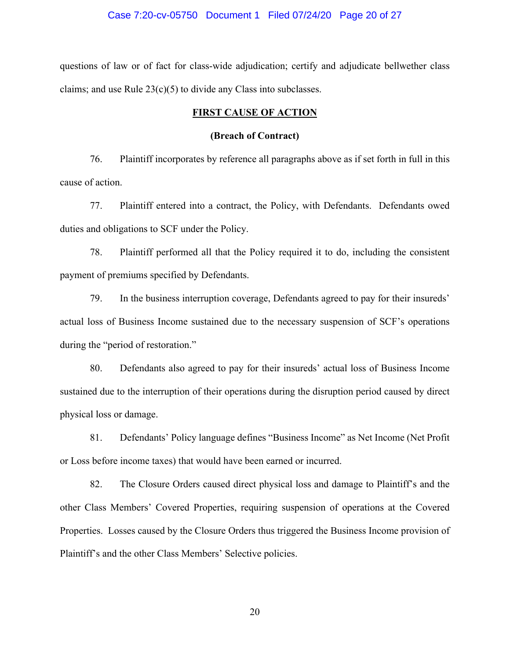### Case 7:20-cv-05750 Document 1 Filed 07/24/20 Page 20 of 27

questions of law or of fact for class-wide adjudication; certify and adjudicate bellwether class claims; and use Rule  $23(c)(5)$  to divide any Class into subclasses.

### **FIRST CAUSE OF ACTION**

### **(Breach of Contract)**

76. Plaintiff incorporates by reference all paragraphs above as if set forth in full in this cause of action.

77. Plaintiff entered into a contract, the Policy, with Defendants. Defendants owed duties and obligations to SCF under the Policy.

78. Plaintiff performed all that the Policy required it to do, including the consistent payment of premiums specified by Defendants.

79. In the business interruption coverage, Defendants agreed to pay for their insureds' actual loss of Business Income sustained due to the necessary suspension of SCF's operations during the "period of restoration."

80. Defendants also agreed to pay for their insureds' actual loss of Business Income sustained due to the interruption of their operations during the disruption period caused by direct physical loss or damage.

81. Defendants' Policy language defines "Business Income" as Net Income (Net Profit or Loss before income taxes) that would have been earned or incurred.

82. The Closure Orders caused direct physical loss and damage to Plaintiff's and the other Class Members' Covered Properties, requiring suspension of operations at the Covered Properties. Losses caused by the Closure Orders thus triggered the Business Income provision of Plaintiff's and the other Class Members' Selective policies.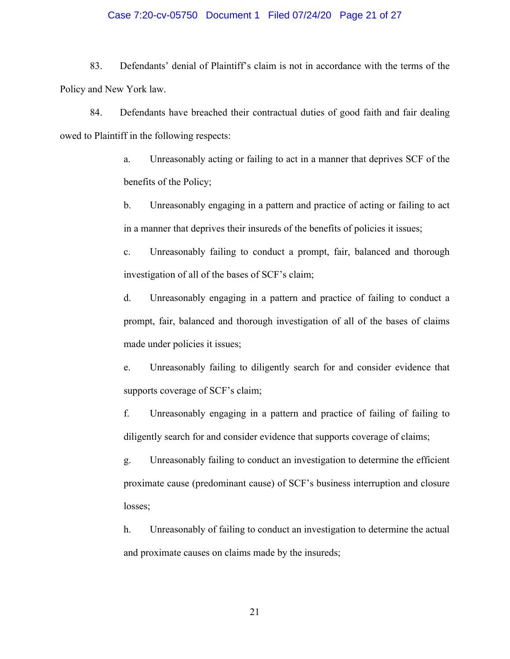#### Case 7:20-cv-05750 Document 1 Filed 07/24/20 Page 21 of 27

83. Defendants' denial of Plaintiff's claim is not in accordance with the terms of the Policy and New York law.

84. Defendants have breached their contractual duties of good faith and fair dealing owed to Plaintiff in the following respects:

> a. Unreasonably acting or failing to act in a manner that deprives SCF of the benefits of the Policy;

> b. Unreasonably engaging in a pattern and practice of acting or failing to act in a manner that deprives their insureds of the benefits of policies it issues;

> c. Unreasonably failing to conduct a prompt, fair, balanced and thorough investigation of all of the bases of SCF's claim;

> d. Unreasonably engaging in a pattern and practice of failing to conduct a prompt, fair, balanced and thorough investigation of all of the bases of claims made under policies it issues;

> e. Unreasonably failing to diligently search for and consider evidence that supports coverage of SCF's claim;

> f. Unreasonably engaging in a pattern and practice of failing of failing to diligently search for and consider evidence that supports coverage of claims;

> g. Unreasonably failing to conduct an investigation to determine the efficient proximate cause (predominant cause) of SCF's business interruption and closure losses;

> h. Unreasonably of failing to conduct an investigation to determine the actual and proximate causes on claims made by the insureds;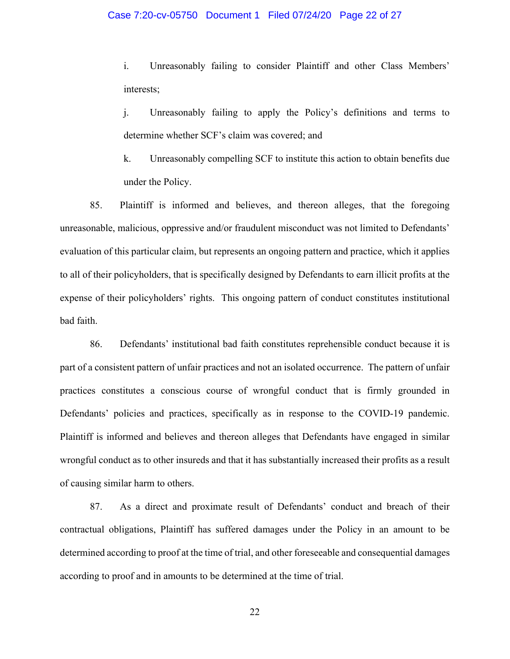### Case 7:20-cv-05750 Document 1 Filed 07/24/20 Page 22 of 27

i. Unreasonably failing to consider Plaintiff and other Class Members' interests;

j. Unreasonably failing to apply the Policy's definitions and terms to determine whether SCF's claim was covered; and

k. Unreasonably compelling SCF to institute this action to obtain benefits due under the Policy.

85. Plaintiff is informed and believes, and thereon alleges, that the foregoing unreasonable, malicious, oppressive and/or fraudulent misconduct was not limited to Defendants' evaluation of this particular claim, but represents an ongoing pattern and practice, which it applies to all of their policyholders, that is specifically designed by Defendants to earn illicit profits at the expense of their policyholders' rights. This ongoing pattern of conduct constitutes institutional bad faith.

86. Defendants' institutional bad faith constitutes reprehensible conduct because it is part of a consistent pattern of unfair practices and not an isolated occurrence. The pattern of unfair practices constitutes a conscious course of wrongful conduct that is firmly grounded in Defendants' policies and practices, specifically as in response to the COVID-19 pandemic. Plaintiff is informed and believes and thereon alleges that Defendants have engaged in similar wrongful conduct as to other insureds and that it has substantially increased their profits as a result of causing similar harm to others.

87. As a direct and proximate result of Defendants' conduct and breach of their contractual obligations, Plaintiff has suffered damages under the Policy in an amount to be determined according to proof at the time of trial, and other foreseeable and consequential damages according to proof and in amounts to be determined at the time of trial.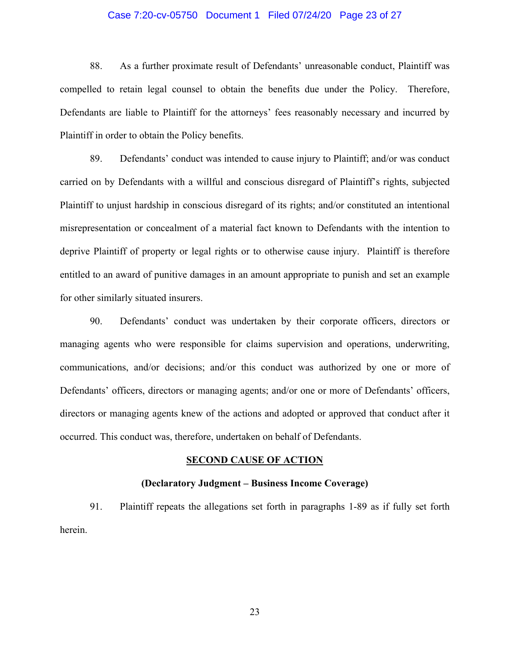### Case 7:20-cv-05750 Document 1 Filed 07/24/20 Page 23 of 27

88. As a further proximate result of Defendants' unreasonable conduct, Plaintiff was compelled to retain legal counsel to obtain the benefits due under the Policy. Therefore, Defendants are liable to Plaintiff for the attorneys' fees reasonably necessary and incurred by Plaintiff in order to obtain the Policy benefits.

89. Defendants' conduct was intended to cause injury to Plaintiff; and/or was conduct carried on by Defendants with a willful and conscious disregard of Plaintiff's rights, subjected Plaintiff to unjust hardship in conscious disregard of its rights; and/or constituted an intentional misrepresentation or concealment of a material fact known to Defendants with the intention to deprive Plaintiff of property or legal rights or to otherwise cause injury. Plaintiff is therefore entitled to an award of punitive damages in an amount appropriate to punish and set an example for other similarly situated insurers.

90. Defendants' conduct was undertaken by their corporate officers, directors or managing agents who were responsible for claims supervision and operations, underwriting, communications, and/or decisions; and/or this conduct was authorized by one or more of Defendants' officers, directors or managing agents; and/or one or more of Defendants' officers, directors or managing agents knew of the actions and adopted or approved that conduct after it occurred. This conduct was, therefore, undertaken on behalf of Defendants.

#### **SECOND CAUSE OF ACTION**

#### **(Declaratory Judgment – Business Income Coverage)**

91. Plaintiff repeats the allegations set forth in paragraphs 1-89 as if fully set forth herein.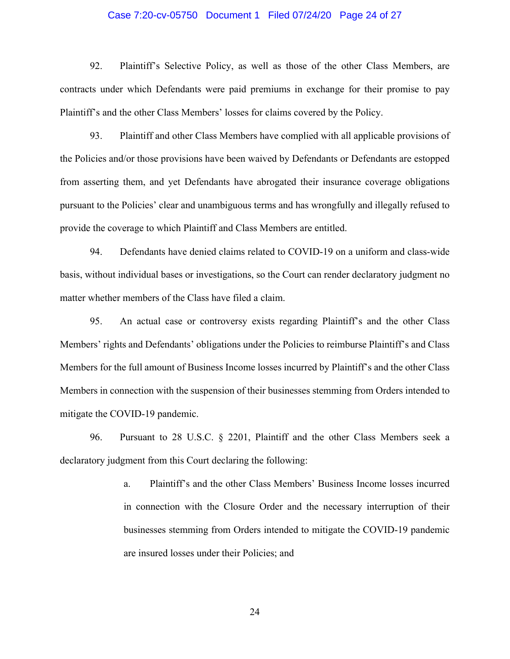### Case 7:20-cv-05750 Document 1 Filed 07/24/20 Page 24 of 27

92. Plaintiff's Selective Policy, as well as those of the other Class Members, are contracts under which Defendants were paid premiums in exchange for their promise to pay Plaintiff's and the other Class Members' losses for claims covered by the Policy.

93. Plaintiff and other Class Members have complied with all applicable provisions of the Policies and/or those provisions have been waived by Defendants or Defendants are estopped from asserting them, and yet Defendants have abrogated their insurance coverage obligations pursuant to the Policies' clear and unambiguous terms and has wrongfully and illegally refused to provide the coverage to which Plaintiff and Class Members are entitled.

94. Defendants have denied claims related to COVID-19 on a uniform and class-wide basis, without individual bases or investigations, so the Court can render declaratory judgment no matter whether members of the Class have filed a claim.

95. An actual case or controversy exists regarding Plaintiff's and the other Class Members' rights and Defendants' obligations under the Policies to reimburse Plaintiff's and Class Members for the full amount of Business Income losses incurred by Plaintiff's and the other Class Members in connection with the suspension of their businesses stemming from Orders intended to mitigate the COVID-19 pandemic.

96. Pursuant to 28 U.S.C. § 2201, Plaintiff and the other Class Members seek a declaratory judgment from this Court declaring the following:

> a. Plaintiff's and the other Class Members' Business Income losses incurred in connection with the Closure Order and the necessary interruption of their businesses stemming from Orders intended to mitigate the COVID-19 pandemic are insured losses under their Policies; and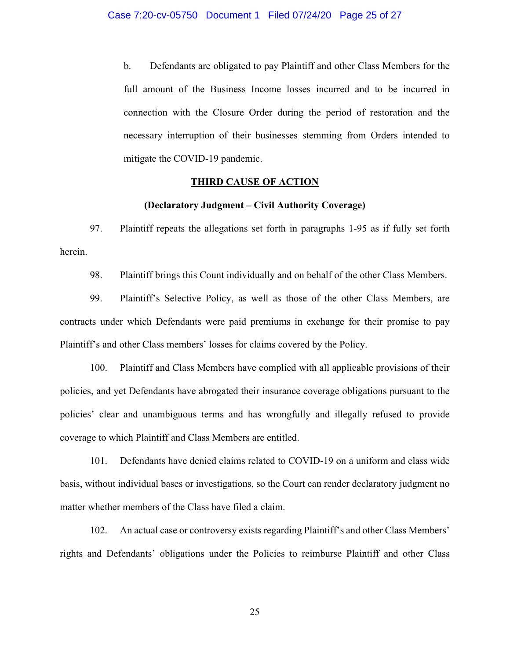b. Defendants are obligated to pay Plaintiff and other Class Members for the full amount of the Business Income losses incurred and to be incurred in connection with the Closure Order during the period of restoration and the necessary interruption of their businesses stemming from Orders intended to mitigate the COVID-19 pandemic.

### **THIRD CAUSE OF ACTION**

### **(Declaratory Judgment – Civil Authority Coverage)**

97. Plaintiff repeats the allegations set forth in paragraphs 1-95 as if fully set forth herein.

98. Plaintiff brings this Count individually and on behalf of the other Class Members.

99. Plaintiff's Selective Policy, as well as those of the other Class Members, are contracts under which Defendants were paid premiums in exchange for their promise to pay Plaintiff's and other Class members' losses for claims covered by the Policy.

100. Plaintiff and Class Members have complied with all applicable provisions of their policies, and yet Defendants have abrogated their insurance coverage obligations pursuant to the policies' clear and unambiguous terms and has wrongfully and illegally refused to provide coverage to which Plaintiff and Class Members are entitled.

101. Defendants have denied claims related to COVID-19 on a uniform and class wide basis, without individual bases or investigations, so the Court can render declaratory judgment no matter whether members of the Class have filed a claim.

102. An actual case or controversy exists regarding Plaintiff's and other Class Members' rights and Defendants' obligations under the Policies to reimburse Plaintiff and other Class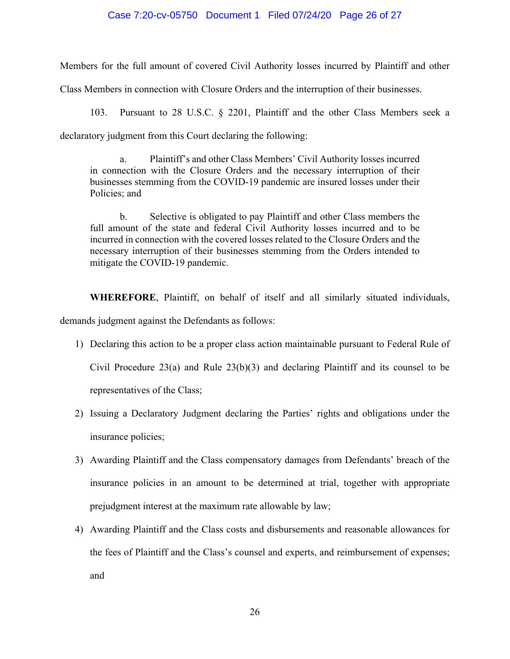### Case 7:20-cv-05750 Document 1 Filed 07/24/20 Page 26 of 27

Members for the full amount of covered Civil Authority losses incurred by Plaintiff and other

Class Members in connection with Closure Orders and the interruption of their businesses.

103. Pursuant to 28 U.S.C. § 2201, Plaintiff and the other Class Members seek a

declaratory judgment from this Court declaring the following:

a. Plaintiff's and other Class Members' Civil Authority losses incurred in connection with the Closure Orders and the necessary interruption of their businesses stemming from the COVID-19 pandemic are insured losses under their Policies; and

b. Selective is obligated to pay Plaintiff and other Class members the full amount of the state and federal Civil Authority losses incurred and to be incurred in connection with the covered losses related to the Closure Orders and the necessary interruption of their businesses stemming from the Orders intended to mitigate the COVID-19 pandemic.

**WHEREFORE**, Plaintiff, on behalf of itself and all similarly situated individuals, demands judgment against the Defendants as follows:

- 1) Declaring this action to be a proper class action maintainable pursuant to Federal Rule of Civil Procedure 23(a) and Rule 23(b)(3) and declaring Plaintiff and its counsel to be representatives of the Class;
- 2) Issuing a Declaratory Judgment declaring the Parties' rights and obligations under the insurance policies;
- 3) Awarding Plaintiff and the Class compensatory damages from Defendants' breach of the insurance policies in an amount to be determined at trial, together with appropriate prejudgment interest at the maximum rate allowable by law;
- 4) Awarding Plaintiff and the Class costs and disbursements and reasonable allowances for the fees of Plaintiff and the Class's counsel and experts, and reimbursement of expenses; and